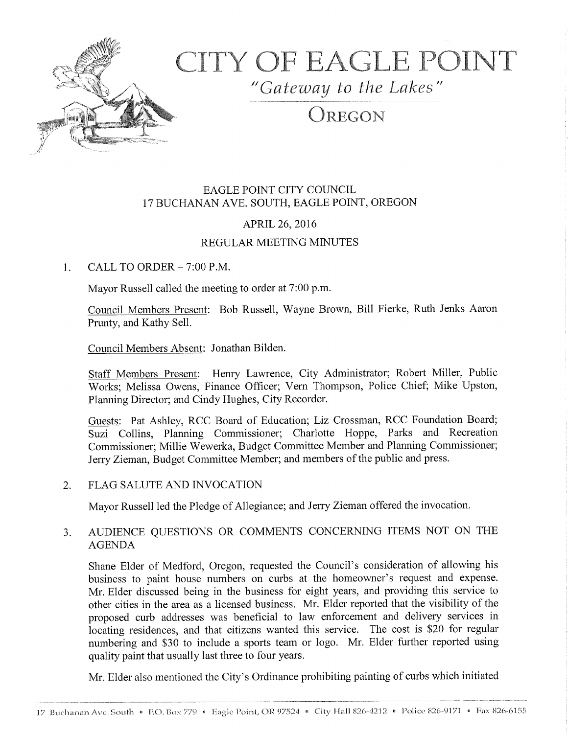

# CITY OF EAGLE POINT

"Gateway to the Lakes"

# OREGON

# EAGLE POINT CITY COUNCIL 17 BUCHANAN AVE. SOUTH, EAGLE POINT, OREGON

# APRIL 26, 2016

### REGULAR MEETING MINUTES

1. CALL TO ORDER  $-7:00$  P.M.

Mayor Russell called the meeting to order at 7:00 p.m.

Council Members Present: Bob Russell, Wayne Brown, Bill Fierke, Ruth Jenks Aaron Prunty, and Kathy Sell.

Council Members Absent: Jonathan Bilden.

Staff Members Present: Henry Lawrence, City Administrator; Robert Miller, Public Works; Melissa Owens, Finance Officer; Vern Thompson, Police Chief, Mike Upston, Planning Director; and Cindy Hughes, City Recorder.

Guests: Pat Ashley, RCC Board of Education; Liz Crossman, RCC Foundation Board; Suzi Collins, Planning Commissioner; Charlotte Hoppe, Parks and Recreation Commissioner; Millie Wewerka, Budget Committee Member and Planning Commissioner; Jerry Zieman, Budget Committee Member; and members of the public and press.

2. FLAG SALUTE AND INVOCATION

Mayor Russell led the Pledge of Allegiance; and Jerry Zieman offered the invocation.

# 3. AUDIENCE QUESTIONS OR COMMENTS CONCERNING ITEMS NOT ON THE AGENDA

Shane Elder of Medford, Oregon, requested the Council's consideration of allowing his business to paint house numbers on curbs at the homeowner's request and expense. Mr. Elder discussed being in the business for eight years, and providing this service to other cities in the area as <sup>a</sup> licensed business. Mr. Elder reported that the visibility of the proposed curb addresses was beneficial to law enforcement and delivery services in locating residences, and that citizens wanted this service. The cost is \$20 for regular numbering and \$30 to include a sports team or logo. Mr. Elder further reported using quality paint that usually last three to four years.

Mr. Elder also mentioned the City's Ordinance prohibiting painting of curbs which initiated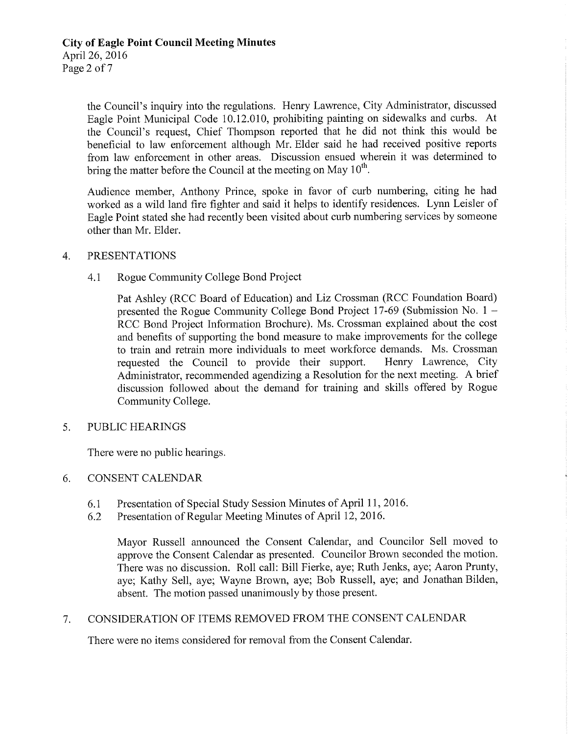the Council's inquiry into the regulations. Henry Lawrence, City Administrator, discussed Eagle Point Municipal Code 10.12.010, prohibiting painting on sidewalks and curbs. At the Council's request, Chief Thompson reported that he did not think this would be beneficial to law enforcement although Mr. Elder said he had received positive reports from law enforcement in other areas. Discussion ensued wherein it was determined to bring the matter before the Council at the meeting on May  $10^{th}$ .

Audience member, Anthony Prince, spoke in favor of curb numbering, citing he had worked as <sup>a</sup> wild land fire fighter and said it helps to identify residences. Lynn Leisler of Eagle Point stated she had recently been visited about curb numbering services by someone other than Mr. Elder.

#### 4. PRESENTATIONS

#### 4.1 Rogue Community College Bond Project

Pat Ashley (RCC Board of Education) and Liz Crossman ( RCC Foundation Board) presented the Rogue Community College Bond Project 17-69 (Submission No.  $1 -$ RCC Bond Project Information Brochure). Ms. Crossman explained about the cost and benefits of supporting the bond measure to make improvements for the college to train and retrain more individuals to meet workforce demands. Ms. Crossman requested the Council to provide their support. Henry Lawrence, City Administrator, recommended agendizing <sup>a</sup> Resolution for the next meeting. A brief discussion followed about the demand for training and skills offered by Rogue Community College.

#### 5. PUBLIC HEARINGS

There were no public hearings.

#### 6. CONSENT CALENDAR

- 6.1 Presentation of Special Study Session Minutes of April 11, 2016.<br>6.2 Presentation of Regular Meeting Minutes of April 12, 2016.
- Presentation of Regular Meeting Minutes of April 12, 2016.

Mayor Russell announced the Consent Calendar, and Councilor Sell moved to approve the Consent Calendar as presented. Councilor Brown seconded the motion. There was no discussion. Roll call: Bill Fierke, aye; Ruth Jenks, aye; Aaron Prunty, aye; Kathy Sell, aye; Wayne Brown, aye; Bob Russell, aye; and Jonathan Bilden, absent. The motion passed unanimously by those present.

#### 7. CONSIDERATION OF ITEMS REMOVED FROM THE CONSENT CALENDAR

There were no items considered for removal from the Consent Calendar.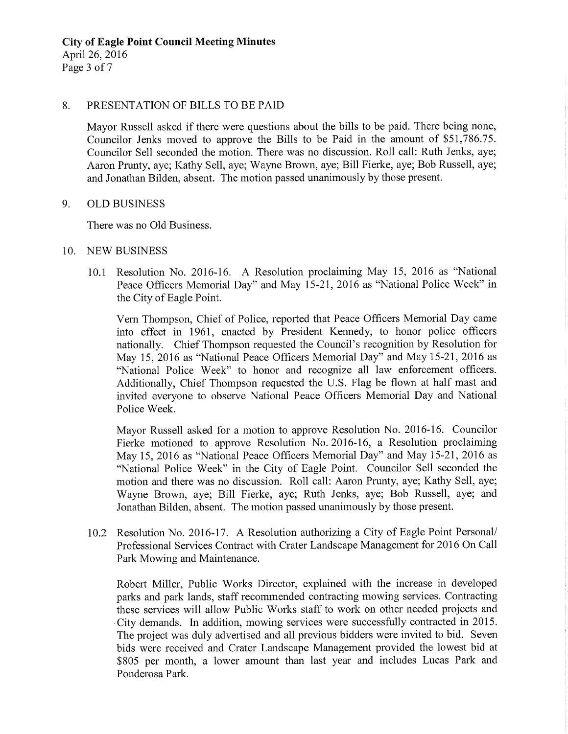#### 8. PRESENTATION OF BILLS TO BE PAID

Mayor Russell asked if there were questions about the bills to be paid. There being none, Councilor Jenks moved to approve the Bills to be Paid in the amount of \$51, 786.75. Councilor Sell seconded the motion. There was no discussion. Roll call: Ruth Jenks, aye; Aaron Prunty, aye; Kathy Sell, aye; Wayne Brown, aye; Bill Fierke, aye; Bob Russell, aye; and Jonathan Bilden, absent. The motion passed unanimously by those present.

#### 9. OLD BUSINESS

There was no Old Business.

#### 10. NEW BUSINESS

10.1 Resolution No. 2016-16. A Resolution proclaiming May 15, 2016 as "National Peace Officers Memorial Day" and May 15-21, 2016 as "National Police Week" in the City of Eagle Point.

Vern Thompson, Chief of Police, reported that Peace Officers Memorial Day came into effect in 1961, enacted by President Kennedy, to honor police officers nationally. Chief Thompson requested the Council's recognition by Resolution for May 15, 2016 as "National Peace Officers Memorial Day" and May 15-21, 2016 as National Police Week" to honor and recognize all law enforcement officers. Additionally, Chief Thompson requested the U.S. Flag be flown at half mast and invited everyone to observe National Peace Officers Memorial Day and National Police Week.

Mayor Russell asked for a motion to approve Resolution No. 2016-16. Councilor Fierke motioned to approve Resolution No. 2016-16, a Resolution proclaiming May 15, 2016 as "National Peace Officers Memorial Day" and May 15-21, 2016 as National Police Week" in the City of Eagle Point. Councilor Sell seconded the motion and there was no discussion. Roll call: Aaron Prunty, aye; Kathy Sell, aye; Wayne Brown, aye; Bill Fierke, aye; Ruth Jenks, aye; Bob Russell, aye; and Jonathan Bilden, absent. The motion passed unanimously by those present.

10.2 Resolution No. 2016-17. A Resolution authorizing a City of Eagle Point Personal/ Professional Services Contract with Crater Landscape Management for 2016 On Call Park Mowing and Maintenance.

Robert Miller, Public Works Director, explained with the increase in developed parks and park lands, staff recommended contracting mowing services. Contracting these services will allow Public Works staff to work on other needed projects and City demands. In addition, mowing services were successfully contracted in 2015. The project was duly advertised and all previous bidders were invited to bid. Seven bids were received and Crater Landscape Management provided the lowest bid at 805 per month, a lower amount than last year and includes Lucas Park and Ponderosa Park.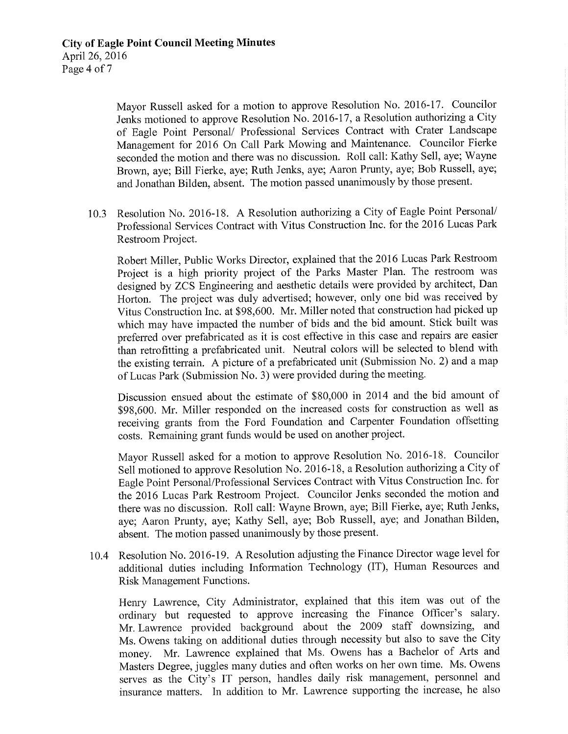Mayor Russell asked for a motion to approve Resolution No. 2016-17. Councilor Jenks motioned to approve Resolution No. 2016-17, a Resolution authorizing a City of Eagle Point Personal/ Professional Services Contract with Crater Landscape Management for <sup>2016</sup> On Call Park Mowing and Maintenance. Councilor Fierke seconded the motion and there was no discussion. Roll call: Kathy Sell, aye; Wayne Brown, aye; Bill Fierke, aye; Ruth Jenks, aye; Aaron Prunty, aye; Bob Russell, aye; and Jonathan Bilden, absent. The motion passed unanimously by those present.

10.3 Resolution No. 2016-18. A Resolution authorizing a City of Eagle Point Personal/ Professional Services Contract with Vitus Construction Inc. for the 2016 Lucas Park Restroom Project.

Robert Miller, Public Works Director, explained that the 2016 Lucas Park Restroom Project is <sup>a</sup> high priority project of the Parks Master Plan. The restroom was designed by ZCS Engineering and aesthetic details were provided by architect, Dan Horton. The project was duly advertised; however, only one bid was received by Vitus Construction Inc. at \$98,600. Mr. Miller noted that construction had picked up which may have impacted the number of bids and the bid amount. Stick built was preferred over prefabricated as it is cost effective in this case and repairs are easier than retrofitting <sup>a</sup> prefabricated unit. Neutral colors will be selected to blend with the existing terrain. A picture of <sup>a</sup> prefabricated unit (Submission No. 2) and a map of Lucas Park (Submission No. 3) were provided during the meeting.

Discussion ensued about the estimate of \$80,000 in 2014 and the bid amount of 98, 600. Mr. Miller responded on the increased costs for construction as well as receiving grants from the Ford Foundation and Carpenter Foundation offsetting costs. Remaining grant funds would be used on another project.

Mayor Russell asked for a motion to approve Resolution No. 2016-18. Councilor Sell motioned to approve Resolution No. 2016- 18, a Resolution authorizing <sup>a</sup> City of Eagle Point Personal/Professional Services Contract with Vitus Construction Inc. for the 2016 Lucas Park Restroom Project. Councilor Jenks seconded the motion and there was no discussion. Roll call: Wayne Brown, aye; Bill Fierke, aye; Ruth Jenks, aye; Aaron Prunty, aye; Kathy Sell, aye; Bob Russell, aye; and Jonathan Bilden, absent. The motion passed unanimously by those present.

10.4 Resolution No. 2016-19. A Resolution adjusting the Finance Director wage level for additional duties including Information Technology (IT), Human Resources and Risk Management Functions.

Henry Lawrence, City Administrator, explained that this item was out of the ordinary but requested to approve increasing the Finance Officer's salary. Mr. Lawrence provided background about the 2009 staff downsizing, and Ms. Owens taking on additional duties through necessity but also to save the City money. Mr. Lawrence explained that Ms. Owens has <sup>a</sup> Bachelor of Arts and Masters Degree, juggles many duties and often works on her own time. Ms. Owens serves as the City's IT person, handles daily risk management, personnel and insurance matters. In addition to Mr. Lawrence supporting the increase, he also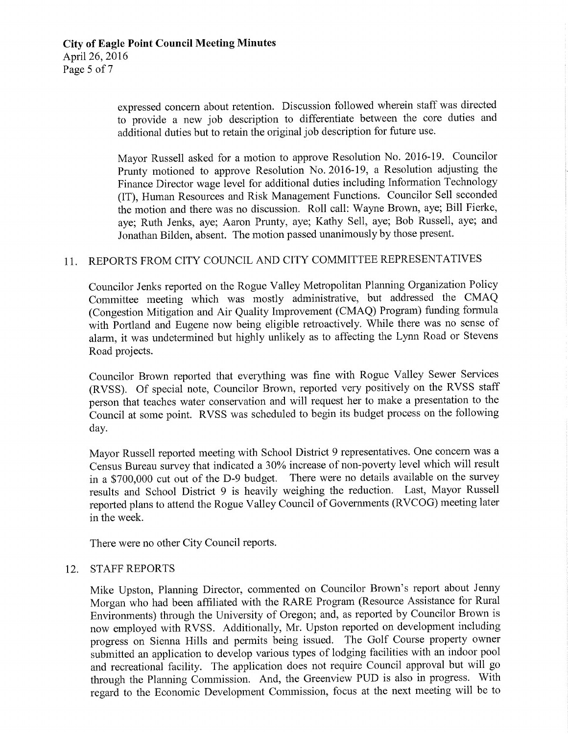expressed concern about retention. Discussion followed wherein staff was directed to provide a new job description to differentiate between the core duties and additional duties but to retain the original job description for future use.

Mayor Russell asked for a motion to approve Resolution No. 2016-19. Councilor Prunty motioned to approve Resolution No. 2016-19, a Resolution adjusting the Finance Director wage level for additional duties including Information Technology IT), Human Resources and Risk Management Functions. Councilor Sell seconded the motion and there was no discussion. Roll call: Wayne Brown, aye; Bill Fierke, aye; Ruth Jenks, aye; Aaron Prunty, aye; Kathy Sell, aye; Bob Russell, aye; and Jonathan Bilden, absent. The motion passed unanimously by those present.

## 11. REPORTS FROM CITY COUNCIL AND CITY COMMITTEE REPRESENTATIVES

Councilor Jenks reported on the Rogue Valley Metropolitan Planning Organization Policy Committee meeting which was mostly administrative, but addressed the CMAQ (Congestion Mitigation and Air Quality Improvement (CMAQ) Program) funding formula with Portland and Eugene now being eligible retroactively. While there was no sense of alarm, it was undetermined but highly unlikely as to affecting the Lynn Road or Stevens Road projects.

Councilor Brown reported that everything was fine with Rogue Valley Sewer Services RVSS). Of special note, Councilor Brown, reported very positively on the RVSS staff person that teaches water conservation and will request her to make <sup>a</sup> presentation to the Council at some point. RVSS was scheduled to begin its budget process on the following day.

Mayor Russell reported meeting with School District 9 representatives. One concern was a Census Bureau survey that indicated <sup>a</sup> 30% increase of non -poverty level which will result in a \$700,000 cut out of the D-9 budget. There were no details available on the survey results and School District <sup>9</sup> is heavily weighing the reduction. Last, Mayor Russell reported plans to attend the Rogue Valley Council of Governments (RVCOG) meeting later in the week.

There were no other City Council reports.

#### 12. STAFF REPORTS

Mike Upston, Planning Director, commented on Councilor Brown's report about Jenny Morgan who had been affiliated with the RARE Program ( Resource Assistance for Rural Enviromnents) through the University of Oregon; and, as reported by Councilor Brown is now employed with RVSS. Additionally, Mr. Upston reported on development including progress on Sienna Hills and permits being issued. The Golf Course property owner submitted an application to develop various types of lodging facilities with an indoor pool and recreational facility. The application does not require Council approval but will go through the Planning Commission. And, the Greenview PUD is also in progress. With regard to the Economic Development Commission, focus at the next meeting will be to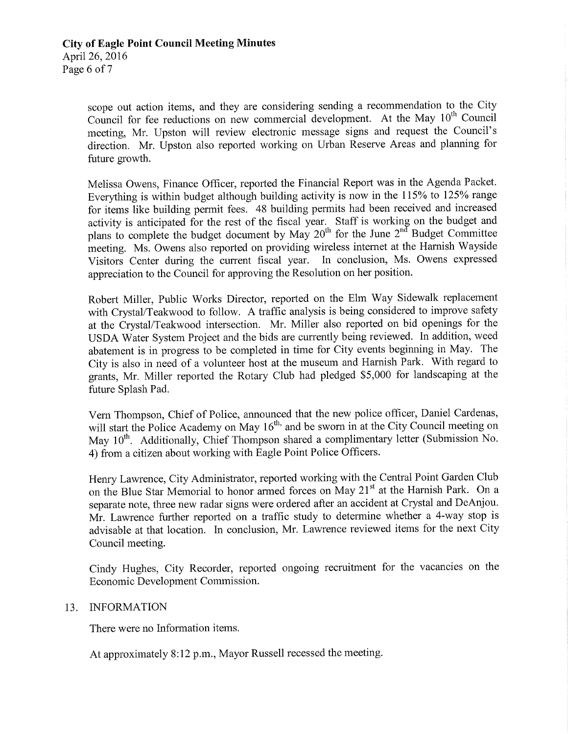scope out action items, and they are considering sending a recommendation to the City Council for fee reductions on new commercial development. At the May 10<sup>th</sup> Council meeting, Mr. Upston will review electronic message signs and request the Council's direction. Mr. Upston also reported working on Urban Reserve Areas and planning for future growth.

Melissa Owens, Finance Officer, reported the Financial Report was in the Agenda Packet. Everything is within budget although building activity is now in the 115% to 125% range for items like building permit fees. 48 building permits had been received and increased activity is anticipated for the rest of the fiscal year. Staff is working on the budget and plans to complete the budget document by May  $20^{th}$  for the June  $2^{nd}$  Budget Committee meeting. Ms. Owens also reported on providing wireless internet at the Harnish Wayside<br>Visitors Center during the current fiscal year. In conclusion, Ms. Owens expressed Visitors Center during the current fiscal year. appreciation to the Council for approving the Resolution on her position.

Robert Miller, Public Works Director, reported on the Elm Way Sidewalk replacement with Crystal/Teakwood to follow. A traffic analysis is being considered to improve safety at the Crystal/Teakwood intersection. Mr. Miller also reported on bid openings for the USDA Water System Project and the bids are currently being reviewed. In addition, weed abatement is in progress to be completed in time for City events beginning in May. The City is also in need of <sup>a</sup> volunteer host at the museum and Harnish Park. With regard to grants, Mr. Miller reported the Rotary Club had pledged \$5,000 for landscaping at the future Splash Pad.

Vern Thompson, Chief of Police, announced that the new police officer, Daniel Cardenas, will start the Police Academy on May  $16<sup>th</sup>$ , and be sworn in at the City Council meeting on May 10<sup>th</sup>. Additionally, Chief Thompson shared a complimentary letter (Submission No. 4) from a citizen about working with Eagle Point Police Officers.

Henry Lawrence, City Administrator, reported working with the Central Point Garden Club on the Blue Star Memorial to honor armed forces on May 21<sup>st</sup> at the Harnish Park. On a separate note, three new radar signs were ordered after an accident at Crystal and DeAnjou. Mr. Lawrence further reported on <sup>a</sup> traffic study to determine whether a 4 -way stop is advisable at that location. In conclusion, Mr. Lawrence reviewed items for the next City Council meeting.

Cindy Hughes, City Recorder, reported ongoing recruitment for the vacancies on the Economic Development Commission.

#### 13. INFORMATION

There were no Information items.

At approximately 8:12 p.m., Mayor Russell recessed the meeting.